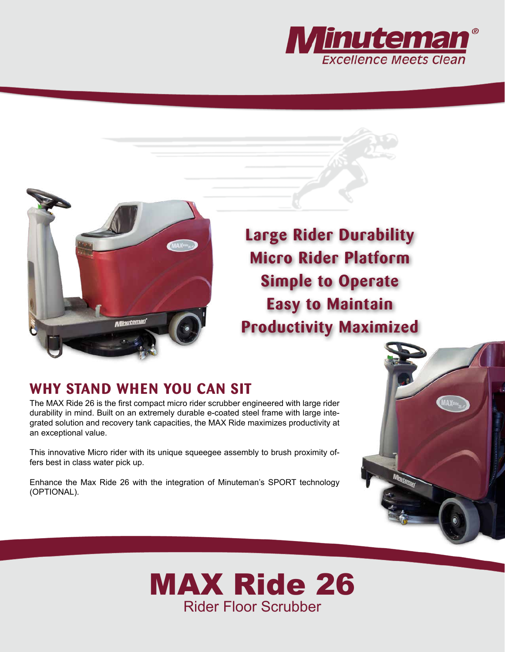



**Large Rider Durability Micro Rider Platform Simple to Operate Easy to Maintain Productivity Maximized**

## **WHY STAND WHEN YOU CAN SIT**

The MAX Ride 26 is the first compact micro rider scrubber engineered with large rider durability in mind. Built on an extremely durable e-coated steel frame with large integrated solution and recovery tank capacities, the MAX Ride maximizes productivity at an exceptional value.

This innovative Micro rider with its unique squeegee assembly to brush proximity offers best in class water pick up.

Enhance the Max Ride 26 with the integration of Minuteman's SPORT technology (OPTIONAL).